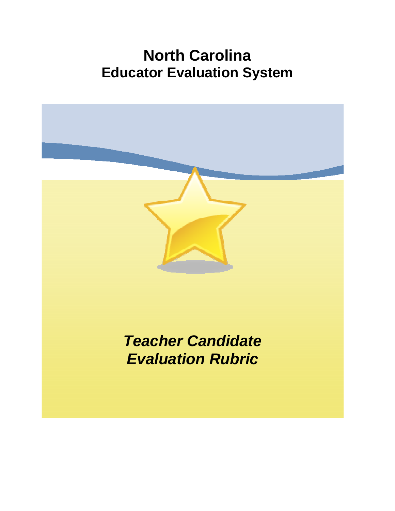# **North Carolina Educator Evaluation System**

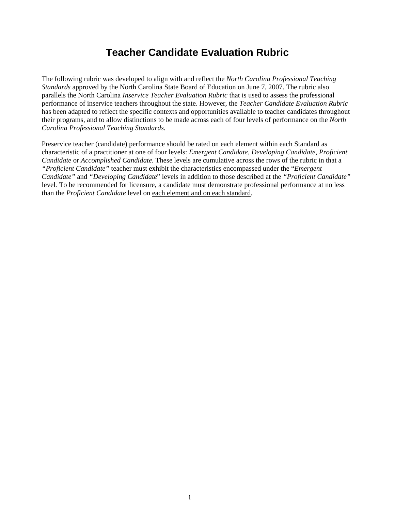# **Teacher Candidate Evaluation Rubric**

The following rubric was developed to align with and reflect the *North Carolina Professional Teaching Standards* approved by the North Carolina State Board of Education on June 7, 2007. The rubric also parallels the North Carolina *Inservice Teacher Evaluation Rubric* that is used to assess the professional performance of inservice teachers throughout the state. However, the *Teacher Candidate Evaluation Rubric* has been adapted to reflect the specific contexts and opportunities available to teacher candidates throughout their programs, and to allow distinctions to be made across each of four levels of performance on the *North Carolina Professional Teaching Standards*.

Preservice teacher (candidate) performance should be rated on each element within each Standard as characteristic of a practitioner at one of four levels: *Emergent Candidate, Developing Candidate, Proficient Candidate* or *Accomplished Candidate.* These levels are cumulative across the rows of the rubric in that a *"Proficient Candidate"* teacher must exhibit the characteristics encompassed under the "*Emergent Candidate"* and *"Developing Candidate*" levels in addition to those described at the *"Proficient Candidate"* level*.* To be recommended for licensure, a candidate must demonstrate professional performance at no less than the *Proficient Candidate* level on each element and on each standard.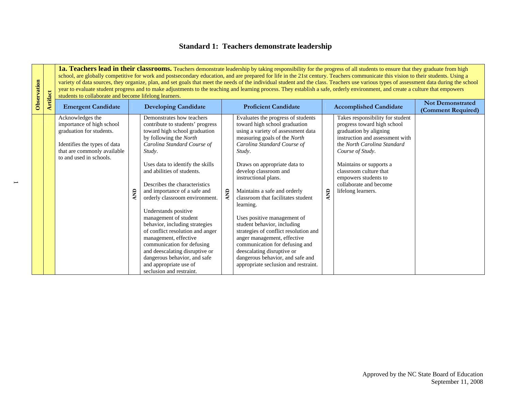#### **Standard 1: Teachers demonstrate leadership**

1a. Teachers lead in their classrooms. Teachers demonstrate leadership by taking responsibility for the progress of all students to ensure that they graduate from high school, are globally competitive for work and postsecondary education, and are prepared for life in the 21st century. Teachers communicate this vision to their students. Using a variety of data sources, they organize, plan, and set goals that meet the needs of the individual student and the class. Teachers use various types of assessment data during the school students to collaborate and become lifelong learners.

| Observation | <b>Artifact</b> | students to collaborate and become lifelong learners.                                                                                                               |   |                                                                                                                                                                                                                                                                                                                                                                                                                                                                                                                                                                                                                                              |            | variety of data sources, they organize, plan, and set goals that meet the needs of the individual student and the class. Teachers use various types of assessment data during the school<br>year to evaluate student progress and to make adjustments to the teaching and learning process. They establish a safe, orderly environment, and create a culture that empowers                                                                                                                                                                                                                                                               |            |                                                                                                                                                                                                                                                                                                              |                                               |
|-------------|-----------------|---------------------------------------------------------------------------------------------------------------------------------------------------------------------|---|----------------------------------------------------------------------------------------------------------------------------------------------------------------------------------------------------------------------------------------------------------------------------------------------------------------------------------------------------------------------------------------------------------------------------------------------------------------------------------------------------------------------------------------------------------------------------------------------------------------------------------------------|------------|------------------------------------------------------------------------------------------------------------------------------------------------------------------------------------------------------------------------------------------------------------------------------------------------------------------------------------------------------------------------------------------------------------------------------------------------------------------------------------------------------------------------------------------------------------------------------------------------------------------------------------------|------------|--------------------------------------------------------------------------------------------------------------------------------------------------------------------------------------------------------------------------------------------------------------------------------------------------------------|-----------------------------------------------|
|             |                 | <b>Emergent Candidate</b>                                                                                                                                           |   | <b>Developing Candidate</b>                                                                                                                                                                                                                                                                                                                                                                                                                                                                                                                                                                                                                  |            | <b>Proficient Candidate</b>                                                                                                                                                                                                                                                                                                                                                                                                                                                                                                                                                                                                              |            | <b>Accomplished Candidate</b>                                                                                                                                                                                                                                                                                | <b>Not Demonstrated</b><br>(Comment Required) |
|             |                 | Acknowledges the<br>importance of high school<br>graduation for students.<br>Identifies the types of data<br>that are commonly available<br>to and used in schools. | g | Demonstrates how teachers<br>contribute to students' progress<br>toward high school graduation<br>by following the North<br>Carolina Standard Course of<br>Study.<br>Uses data to identify the skills<br>and abilities of students.<br>Describes the characteristics<br>and importance of a safe and<br>orderly classroom environment.<br>Understands positive<br>management of student<br>behavior, including strategies<br>of conflict resolution and anger<br>management, effective<br>communication for defusing<br>and deescalating disruptive or<br>dangerous behavior, and safe<br>and appropriate use of<br>seclusion and restraint. | <b>AND</b> | Evaluates the progress of students<br>toward high school graduation<br>using a variety of assessment data<br>measuring goals of the North<br>Carolina Standard Course of<br>Study.<br>Draws on appropriate data to<br>develop classroom and<br>instructional plans.<br>Maintains a safe and orderly<br>classroom that facilitates student<br>learning.<br>Uses positive management of<br>student behavior, including<br>strategies of conflict resolution and<br>anger management, effective<br>communication for defusing and<br>deescalating disruptive or<br>dangerous behavior, and safe and<br>appropriate seclusion and restraint. | <b>GNV</b> | Takes responsibility for student<br>progress toward high school<br>graduation by aligning<br>instruction and assessment with<br>the North Carolina Standard<br>Course of Study.<br>Maintains or supports a<br>classroom culture that<br>empowers students to<br>collaborate and become<br>lifelong learners. |                                               |

 $\overline{\phantom{0}}$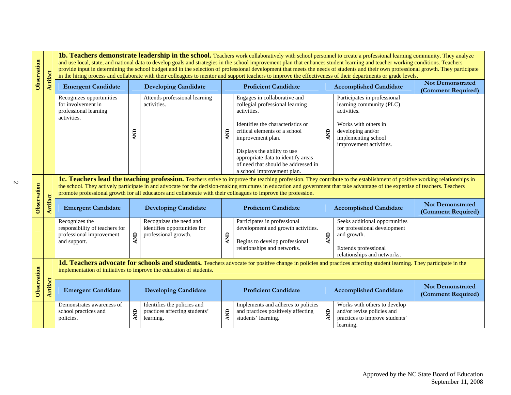| Observation                                                                                                                                                                                                                                |                 |                                                                                                                                                                                                                                                                                                                                                                                                                                                                               | 1b. Teachers demonstrate leadership in the school. Teachers work collaboratively with school personnel to create a professional learning community. They analyze<br>and use local, state, and national data to develop goals and strategies in the school improvement plan that enhances student learning and teacher working conditions. Teachers<br>provide input in determining the school budget and in the selection of professional development that meets the needs of students and their own professional growth. They participate<br>in the hiring process and collaborate with their colleagues to mentor and support teachers to improve the effectiveness of their departments or grade levels. |                                                                                 |            |                                                                                                                                                                                                                                                                                                                     |            |                                                                                                                                                                        |                                               |  |  |
|--------------------------------------------------------------------------------------------------------------------------------------------------------------------------------------------------------------------------------------------|-----------------|-------------------------------------------------------------------------------------------------------------------------------------------------------------------------------------------------------------------------------------------------------------------------------------------------------------------------------------------------------------------------------------------------------------------------------------------------------------------------------|-------------------------------------------------------------------------------------------------------------------------------------------------------------------------------------------------------------------------------------------------------------------------------------------------------------------------------------------------------------------------------------------------------------------------------------------------------------------------------------------------------------------------------------------------------------------------------------------------------------------------------------------------------------------------------------------------------------|---------------------------------------------------------------------------------|------------|---------------------------------------------------------------------------------------------------------------------------------------------------------------------------------------------------------------------------------------------------------------------------------------------------------------------|------------|------------------------------------------------------------------------------------------------------------------------------------------------------------------------|-----------------------------------------------|--|--|
|                                                                                                                                                                                                                                            | Artifact        | <b>Emergent Candidate</b>                                                                                                                                                                                                                                                                                                                                                                                                                                                     |                                                                                                                                                                                                                                                                                                                                                                                                                                                                                                                                                                                                                                                                                                             | <b>Developing Candidate</b>                                                     |            | <b>Proficient Candidate</b>                                                                                                                                                                                                                                                                                         |            | <b>Accomplished Candidate</b>                                                                                                                                          | <b>Not Demonstrated</b><br>(Comment Required) |  |  |
|                                                                                                                                                                                                                                            |                 | Recognizes opportunities<br>for involvement in<br>professional learning<br>activities.                                                                                                                                                                                                                                                                                                                                                                                        |                                                                                                                                                                                                                                                                                                                                                                                                                                                                                                                                                                                                                                                                                                             | Attends professional learning<br>activities.                                    | AND        | Engages in collaborative and<br>collegial professional learning<br>activities.<br>Identifies the characteristics or<br>critical elements of a school<br>improvement plan.<br>Displays the ability to use<br>appropriate data to identify areas<br>of need that should be addressed in<br>a school improvement plan. | <b>QNY</b> | Participates in professional<br>learning community (PLC)<br>activities.<br>Works with others in<br>developing and/or<br>implementing school<br>improvement activities. |                                               |  |  |
| Observation                                                                                                                                                                                                                                |                 | 1c. Teachers lead the teaching profession. Teachers strive to improve the teaching profession. They contribute to the establishment of positive working relationships in<br>the school. They actively participate in and advocate for the decision-making structures in education and government that take advantage of the expertise of teachers. Teachers<br>promote professional growth for all educators and collaborate with their colleagues to improve the profession. |                                                                                                                                                                                                                                                                                                                                                                                                                                                                                                                                                                                                                                                                                                             |                                                                                 |            |                                                                                                                                                                                                                                                                                                                     |            |                                                                                                                                                                        |                                               |  |  |
|                                                                                                                                                                                                                                            | <b>Artifact</b> | <b>Emergent Candidate</b>                                                                                                                                                                                                                                                                                                                                                                                                                                                     |                                                                                                                                                                                                                                                                                                                                                                                                                                                                                                                                                                                                                                                                                                             | <b>Developing Candidate</b>                                                     |            | <b>Proficient Candidate</b>                                                                                                                                                                                                                                                                                         |            | <b>Accomplished Candidate</b>                                                                                                                                          | <b>Not Demonstrated</b><br>(Comment Required) |  |  |
|                                                                                                                                                                                                                                            |                 | Recognizes the<br>responsibility of teachers for<br>professional improvement<br>and support.                                                                                                                                                                                                                                                                                                                                                                                  |                                                                                                                                                                                                                                                                                                                                                                                                                                                                                                                                                                                                                                                                                                             | Recognizes the need and<br>identifies opportunities for<br>professional growth. | <b>AND</b> | Participates in professional<br>development and growth activities.<br>Begins to develop professional<br>relationships and networks.                                                                                                                                                                                 | AND        | Seeks additional opportunities<br>for professional development<br>and growth.<br>Extends professional<br>relationships and networks.                                   |                                               |  |  |
| 1d. Teachers advocate for schools and students. Teachers advocate for positive change in policies and practices affecting student learning. They participate in the<br>implementation of initiatives to improve the education of students. |                 |                                                                                                                                                                                                                                                                                                                                                                                                                                                                               |                                                                                                                                                                                                                                                                                                                                                                                                                                                                                                                                                                                                                                                                                                             |                                                                                 |            |                                                                                                                                                                                                                                                                                                                     |            |                                                                                                                                                                        |                                               |  |  |
| Observation                                                                                                                                                                                                                                | <b>Artifact</b> | <b>Emergent Candidate</b><br><b>Developing Candidate</b>                                                                                                                                                                                                                                                                                                                                                                                                                      |                                                                                                                                                                                                                                                                                                                                                                                                                                                                                                                                                                                                                                                                                                             |                                                                                 |            | <b>Proficient Candidate</b>                                                                                                                                                                                                                                                                                         |            | <b>Accomplished Candidate</b>                                                                                                                                          | <b>Not Demonstrated</b><br>(Comment Required) |  |  |
|                                                                                                                                                                                                                                            |                 | Demonstrates awareness of<br>AND<br>school practices and<br>policies.                                                                                                                                                                                                                                                                                                                                                                                                         |                                                                                                                                                                                                                                                                                                                                                                                                                                                                                                                                                                                                                                                                                                             | Identifies the policies and<br>practices affecting students'<br>learning.       | <b>AND</b> | Implements and adheres to policies<br>and practices positively affecting<br>students' learning.                                                                                                                                                                                                                     | <b>AND</b> | Works with others to develop<br>and/or revise policies and<br>practices to improve students'<br>learning.                                                              |                                               |  |  |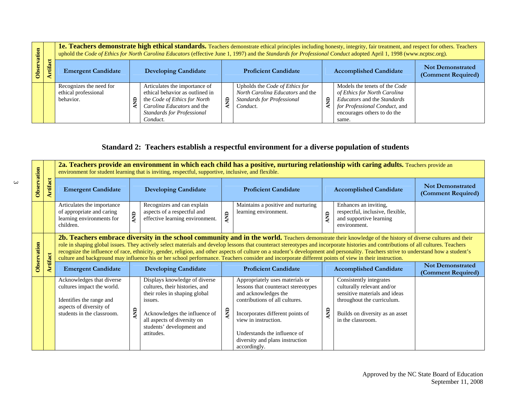| tion |        |                                                              | 1e. Teachers demonstrate high ethical standards. Teachers demonstrate ethical principles including honesty, integrity, fair treatment, and respect for others. Teachers<br>uphold the Code of Ethics for North Carolina Educators (effective June 1, 1997) and the Standards for Professional Conduct adopted April 1, 1998 (www.ncptsc.org). |                                                                                                                                                                                 |   |                                                                                                                     |   |                                                                                                                                                                       |                                               |  |  |
|------|--------|--------------------------------------------------------------|-----------------------------------------------------------------------------------------------------------------------------------------------------------------------------------------------------------------------------------------------------------------------------------------------------------------------------------------------|---------------------------------------------------------------------------------------------------------------------------------------------------------------------------------|---|---------------------------------------------------------------------------------------------------------------------|---|-----------------------------------------------------------------------------------------------------------------------------------------------------------------------|-----------------------------------------------|--|--|
|      | ₩<br>ŧ | <b>Emergent Candidate</b>                                    |                                                                                                                                                                                                                                                                                                                                               | <b>Developing Candidate</b>                                                                                                                                                     |   | <b>Proficient Candidate</b>                                                                                         |   | <b>Accomplished Candidate</b>                                                                                                                                         | <b>Not Demonstrated</b><br>(Comment Required) |  |  |
|      |        | Recognizes the need for<br>ethical professional<br>behavior. |                                                                                                                                                                                                                                                                                                                                               | Articulates the importance of<br>ethical behavior as outlined in<br>the Code of Ethics for North<br>Carolina Educators and the<br><b>Standards for Professional</b><br>Conduct. | £ | Upholds the Code of Ethics for<br>North Carolina Educators and the<br><b>Standards for Professional</b><br>Conduct. | ₿ | Models the tenets of the Code<br>of Ethics for North Carolina<br>Educators and the Standards<br>for Professional Conduct, and<br>encourages others to do the<br>same. |                                               |  |  |

## **Standard 2: Teachers establish a respectful environment for a diverse population of students**

|             |                                                                                                                                                                                                                                                                                                                                                                                                                                                                                                                                                                                                                                                                                                                                                                          |                                                                                                                                              |            | environment for student learning that is inviting, respectful, supportive, inclusive, and flexible.                                                                                                                    |            | 2a. Teachers provide an environment in which each child has a positive, nurturing relationship with caring adults. Teachers provide an                                                                                                                                          |            |                                                                                                                                                                              |                                               |
|-------------|--------------------------------------------------------------------------------------------------------------------------------------------------------------------------------------------------------------------------------------------------------------------------------------------------------------------------------------------------------------------------------------------------------------------------------------------------------------------------------------------------------------------------------------------------------------------------------------------------------------------------------------------------------------------------------------------------------------------------------------------------------------------------|----------------------------------------------------------------------------------------------------------------------------------------------|------------|------------------------------------------------------------------------------------------------------------------------------------------------------------------------------------------------------------------------|------------|---------------------------------------------------------------------------------------------------------------------------------------------------------------------------------------------------------------------------------------------------------------------------------|------------|------------------------------------------------------------------------------------------------------------------------------------------------------------------------------|-----------------------------------------------|
| Observation | <b>Artifact</b>                                                                                                                                                                                                                                                                                                                                                                                                                                                                                                                                                                                                                                                                                                                                                          | <b>Emergent Candidate</b>                                                                                                                    |            | <b>Developing Candidate</b>                                                                                                                                                                                            |            | <b>Proficient Candidate</b>                                                                                                                                                                                                                                                     |            | <b>Accomplished Candidate</b>                                                                                                                                                | <b>Not Demonstrated</b><br>(Comment Required) |
|             |                                                                                                                                                                                                                                                                                                                                                                                                                                                                                                                                                                                                                                                                                                                                                                          | Articulates the importance<br>of appropriate and caring<br>learning environments for<br>children.                                            | <b>QNY</b> | Recognizes and can explain<br>aspects of a respectful and<br>effective learning environment.                                                                                                                           | AND        | Maintains a positive and nurturing<br>learning environment.                                                                                                                                                                                                                     | $\epsilon$ | Enhances an inviting,<br>respectful, inclusive, flexible,<br>and supportive learning<br>environment.                                                                         |                                               |
| Observation | 2b. Teachers embrace diversity in the school community and in the world. Teachers demonstrate their knowledge of the history of diverse cultures and their<br>role in shaping global issues. They actively select materials and develop lessons that counteract stereotypes and incorporate histories and contributions of all cultures. Teachers<br>recognize the influence of race, ethnicity, gender, religion, and other aspects of culture on a student's development and personality. Teachers strive to understand how a student's<br>rtifact<br>culture and background may influence his or her school performance. Teachers consider and incorporate different points of view in their instruction.<br><b>Emergent Candidate</b><br><b>Developing Candidate</b> |                                                                                                                                              |            |                                                                                                                                                                                                                        |            | <b>Proficient Candidate</b>                                                                                                                                                                                                                                                     |            | <b>Accomplished Candidate</b>                                                                                                                                                | <b>Not Demonstrated</b><br>(Comment Required) |
|             |                                                                                                                                                                                                                                                                                                                                                                                                                                                                                                                                                                                                                                                                                                                                                                          | Acknowledges that diverse<br>cultures impact the world.<br>Identifies the range and<br>aspects of diversity of<br>students in the classroom. | gN         | Displays knowledge of diverse<br>cultures, their histories, and<br>their roles in shaping global<br>issues.<br>Acknowledges the influence of<br>all aspects of diversity on<br>students' development and<br>attitudes. | <b>AND</b> | Appropriately uses materials or<br>lessons that counteract stereotypes<br>and acknowledges the<br>contributions of all cultures.<br>Incorporates different points of<br>view in instruction.<br>Understands the influence of<br>diversity and plans instruction<br>accordingly. | <b>QN</b>  | Consistently integrates<br>culturally relevant and/or<br>sensitive materials and ideas<br>throughout the curriculum.<br>Builds on diversity as an asset<br>in the classroom. |                                               |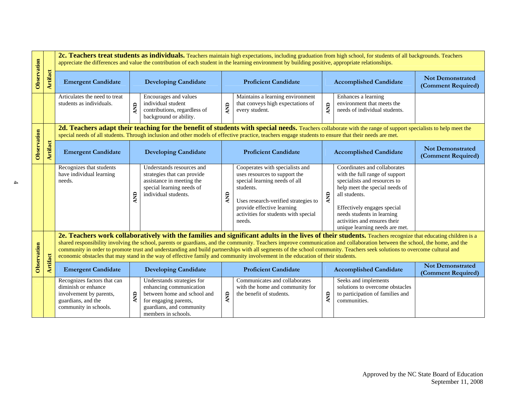|                                                                                                                                                                                                                                                                                                                                                                                                                                                                                                                                                                                                                                                                        |                 |                                                                                                                                                                                                                                                                                                         |            |                                                                                                                                            |                                                                                              | 2c. Teachers treat students as individuals. Teachers maintain high expectations, including graduation from high school, for students of all backgrounds. Teachers<br>appreciate the differences and value the contribution of each student in the learning environment by building positive, appropriate relationships. |                                                                                                             |                                                                                                                                                                                                                                                                                  |                                               |
|------------------------------------------------------------------------------------------------------------------------------------------------------------------------------------------------------------------------------------------------------------------------------------------------------------------------------------------------------------------------------------------------------------------------------------------------------------------------------------------------------------------------------------------------------------------------------------------------------------------------------------------------------------------------|-----------------|---------------------------------------------------------------------------------------------------------------------------------------------------------------------------------------------------------------------------------------------------------------------------------------------------------|------------|--------------------------------------------------------------------------------------------------------------------------------------------|----------------------------------------------------------------------------------------------|-------------------------------------------------------------------------------------------------------------------------------------------------------------------------------------------------------------------------------------------------------------------------------------------------------------------------|-------------------------------------------------------------------------------------------------------------|----------------------------------------------------------------------------------------------------------------------------------------------------------------------------------------------------------------------------------------------------------------------------------|-----------------------------------------------|
| Observation                                                                                                                                                                                                                                                                                                                                                                                                                                                                                                                                                                                                                                                            | <b>Artifact</b> | <b>Emergent Candidate</b>                                                                                                                                                                                                                                                                               |            | <b>Developing Candidate</b>                                                                                                                | <b>Proficient Candidate</b>                                                                  |                                                                                                                                                                                                                                                                                                                         |                                                                                                             | <b>Accomplished Candidate</b>                                                                                                                                                                                                                                                    | <b>Not Demonstrated</b><br>(Comment Required) |
|                                                                                                                                                                                                                                                                                                                                                                                                                                                                                                                                                                                                                                                                        |                 | Articulates the need to treat<br>students as individuals.                                                                                                                                                                                                                                               | <b>AND</b> | Encourages and values<br>individual student<br>contributions, regardless of<br>background or ability.                                      | <b>QINT</b>                                                                                  | Maintains a learning environment<br>that conveys high expectations of<br>every student.                                                                                                                                                                                                                                 | <b>AND</b>                                                                                                  | Enhances a learning<br>environment that meets the<br>needs of individual students.                                                                                                                                                                                               |                                               |
| 2d. Teachers adapt their teaching for the benefit of students with special needs. Teachers collaborate with the range of support specialists to help meet the<br>special needs of all students. Through inclusion and other models of effective practice, teachers engage students to ensure that their needs are met.                                                                                                                                                                                                                                                                                                                                                 |                 |                                                                                                                                                                                                                                                                                                         |            |                                                                                                                                            |                                                                                              |                                                                                                                                                                                                                                                                                                                         |                                                                                                             |                                                                                                                                                                                                                                                                                  |                                               |
| Observation                                                                                                                                                                                                                                                                                                                                                                                                                                                                                                                                                                                                                                                            | <b>Artifact</b> | <b>Emergent Candidate</b><br><b>Developing Candidate</b>                                                                                                                                                                                                                                                |            | <b>Proficient Candidate</b>                                                                                                                |                                                                                              |                                                                                                                                                                                                                                                                                                                         | <b>Accomplished Candidate</b>                                                                               | <b>Not Demonstrated</b><br>(Comment Required)                                                                                                                                                                                                                                    |                                               |
|                                                                                                                                                                                                                                                                                                                                                                                                                                                                                                                                                                                                                                                                        |                 | Recognizes that students<br>have individual learning<br>needs.                                                                                                                                                                                                                                          | E          | Understands resources and<br>strategies that can provide<br>assistance in meeting the<br>special learning needs of<br>individual students. | <b>QNY</b>                                                                                   | Cooperates with specialists and<br>uses resources to support the<br>special learning needs of all<br>students.<br>Uses research-verified strategies to<br>provide effective learning<br>activities for students with special<br>needs.                                                                                  | AND                                                                                                         | Coordinates and collaborates<br>with the full range of support<br>specialists and resources to<br>help meet the special needs of<br>all students.<br>Effectively engages special<br>needs students in learning<br>activities and ensures their<br>unique learning needs are met. |                                               |
| 2e. Teachers work collaboratively with the families and significant adults in the lives of their students. Teachers recognize that educating children is a<br>shared responsibility involving the school, parents or guardians, and the community. Teachers improve communication and collaboration between the school, the home, and the<br>Observation<br>community in order to promote trust and understanding and build partnerships with all segments of the school community. Teachers seek solutions to overcome cultural and<br>economic obstacles that may stand in the way of effective family and community involvement in the education of their students. |                 |                                                                                                                                                                                                                                                                                                         |            |                                                                                                                                            |                                                                                              |                                                                                                                                                                                                                                                                                                                         |                                                                                                             |                                                                                                                                                                                                                                                                                  |                                               |
|                                                                                                                                                                                                                                                                                                                                                                                                                                                                                                                                                                                                                                                                        | <b>Artifact</b> | <b>Emergent Candidate</b>                                                                                                                                                                                                                                                                               |            | <b>Developing Candidate</b>                                                                                                                | <b>Proficient Candidate</b>                                                                  |                                                                                                                                                                                                                                                                                                                         | <b>Accomplished Candidate</b>                                                                               |                                                                                                                                                                                                                                                                                  | <b>Not Demonstrated</b><br>(Comment Required) |
|                                                                                                                                                                                                                                                                                                                                                                                                                                                                                                                                                                                                                                                                        |                 | Understands strategies for<br>Recognizes factors that can<br>diminish or enhance<br>enhancing communication<br>between home and school and<br>involvement by parents,<br>AND<br>guardians, and the<br>for engaging parents,<br>community in schools.<br>guardians, and community<br>members in schools. |            | AND                                                                                                                                        | Communicates and collaborates<br>with the home and community for<br>the benefit of students. | <b>AND</b>                                                                                                                                                                                                                                                                                                              | Seeks and implements<br>solutions to overcome obstacles<br>to participation of families and<br>communities. |                                                                                                                                                                                                                                                                                  |                                               |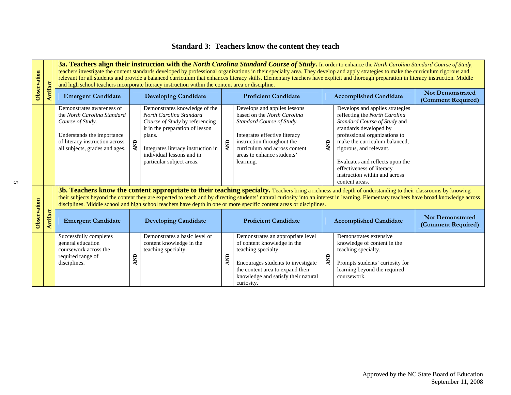## **Standard 3: Teachers know the content they teach**

| Observation |                 |                                                                                                                                                                                                                                                                                                                 | 3a. Teachers align their instruction with the North Carolina Standard Course of Study. In order to enhance the North Carolina Standard Course of Study,<br>teachers investigate the content standards developed by professional organizations in their specialty area. They develop and apply strategies to make the curriculum rigorous and<br>relevant for all students and provide a balanced curriculum that enhances literacy skills. Elementary teachers have explicit and thorough preparation in literacy instruction. Middle<br>and high school teachers incorporate literacy instruction within the content area or discipline. |                                                                                                                                                                                                                                         |                             |                                                                                                                                                                                                                                                                                                                                                                                                   |            |                                                                                                                                                                                                                                                                                                                                            |                                               |  |  |  |
|-------------|-----------------|-----------------------------------------------------------------------------------------------------------------------------------------------------------------------------------------------------------------------------------------------------------------------------------------------------------------|-------------------------------------------------------------------------------------------------------------------------------------------------------------------------------------------------------------------------------------------------------------------------------------------------------------------------------------------------------------------------------------------------------------------------------------------------------------------------------------------------------------------------------------------------------------------------------------------------------------------------------------------|-----------------------------------------------------------------------------------------------------------------------------------------------------------------------------------------------------------------------------------------|-----------------------------|---------------------------------------------------------------------------------------------------------------------------------------------------------------------------------------------------------------------------------------------------------------------------------------------------------------------------------------------------------------------------------------------------|------------|--------------------------------------------------------------------------------------------------------------------------------------------------------------------------------------------------------------------------------------------------------------------------------------------------------------------------------------------|-----------------------------------------------|--|--|--|
|             | <b>Artifact</b> | <b>Emergent Candidate</b>                                                                                                                                                                                                                                                                                       |                                                                                                                                                                                                                                                                                                                                                                                                                                                                                                                                                                                                                                           | <b>Developing Candidate</b>                                                                                                                                                                                                             | <b>Proficient Candidate</b> |                                                                                                                                                                                                                                                                                                                                                                                                   |            | <b>Accomplished Candidate</b>                                                                                                                                                                                                                                                                                                              | <b>Not Demonstrated</b><br>(Comment Required) |  |  |  |
|             |                 | Demonstrates awareness of<br>the North Carolina Standard<br>Course of Study.<br>Understands the importance<br>of literacy instruction across<br>all subjects, grades and ages.                                                                                                                                  | $\epsilon$                                                                                                                                                                                                                                                                                                                                                                                                                                                                                                                                                                                                                                | Demonstrates knowledge of the<br>North Carolina Standard<br>Course of Study by referencing<br>it in the preparation of lesson<br>plans.<br>Integrates literacy instruction in<br>individual lessons and in<br>particular subject areas. | <b>QNY</b>                  | Develops and applies lessons<br>based on the North Carolina<br>Standard Course of Study.<br>Integrates effective literacy<br>instruction throughout the<br>curriculum and across content<br>areas to enhance students'<br>learning.<br>3b. Teachers know the content appropriate to their teaching specialty. Teachers bring a richness and depth of understanding to their classrooms by knowing | <b>Q</b>   | Develops and applies strategies<br>reflecting the North Carolina<br>Standard Course of Study and<br>standards developed by<br>professional organizations to<br>make the curriculum balanced,<br>rigorous, and relevant.<br>Evaluates and reflects upon the<br>effectiveness of literacy<br>instruction within and across<br>content areas. |                                               |  |  |  |
|             |                 | their subjects beyond the content they are expected to teach and by directing students' natural curiosity into an interest in learning. Elementary teachers have broad knowledge across<br>disciplines. Middle school and high school teachers have depth in one or more specific content areas or disciplines. |                                                                                                                                                                                                                                                                                                                                                                                                                                                                                                                                                                                                                                           |                                                                                                                                                                                                                                         |                             |                                                                                                                                                                                                                                                                                                                                                                                                   |            |                                                                                                                                                                                                                                                                                                                                            |                                               |  |  |  |
| Observation | Artifact        | <b>Emergent Candidate</b>                                                                                                                                                                                                                                                                                       |                                                                                                                                                                                                                                                                                                                                                                                                                                                                                                                                                                                                                                           | <b>Developing Candidate</b>                                                                                                                                                                                                             | <b>Proficient Candidate</b> |                                                                                                                                                                                                                                                                                                                                                                                                   |            | <b>Accomplished Candidate</b>                                                                                                                                                                                                                                                                                                              | <b>Not Demonstrated</b><br>(Comment Required) |  |  |  |
|             |                 | Successfully completes<br>general education<br>coursework across the<br>required range of<br>disciplines.                                                                                                                                                                                                       | <b>AND</b>                                                                                                                                                                                                                                                                                                                                                                                                                                                                                                                                                                                                                                | Demonstrates a basic level of<br>content knowledge in the<br>teaching specialty.                                                                                                                                                        | Ę                           | Demonstrates an appropriate level<br>of content knowledge in the<br>teaching specialty.<br>Encourages students to investigate<br>the content area to expand their<br>knowledge and satisfy their natural<br>curiosity.                                                                                                                                                                            | <b>AND</b> | Demonstrates extensive<br>knowledge of content in the<br>teaching specialty.<br>Prompts students' curiosity for<br>learning beyond the required<br>coursework.                                                                                                                                                                             |                                               |  |  |  |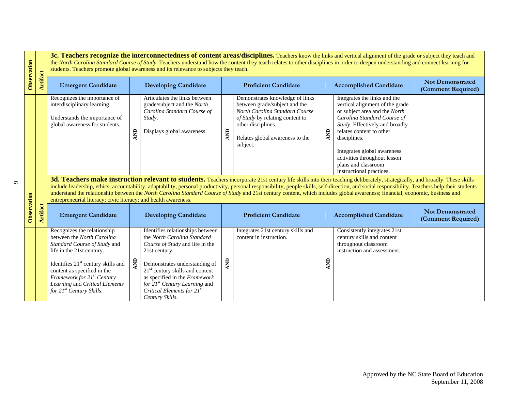| Observation |                 |                                                                                                                                                                                                                                                                                                                                                                                                                                                                                                                                                                                                                                     |                 | students. Teachers promote global awareness and its relevance to subjects they teach.                                                                                                                                                                                                                                         |                             | 3c. Teachers recognize the interconnectedness of content areas/disciplines. Teachers know the links and vertical alignment of the grade or subject they teach and<br>the North Carolina Standard Course of Study. Teachers understand how the content they teach relates to other disciplines in order to deepen understanding and connect learning for |            |                                                                                                                                                                                                                                                                                                                                 |                                               |  |  |  |
|-------------|-----------------|-------------------------------------------------------------------------------------------------------------------------------------------------------------------------------------------------------------------------------------------------------------------------------------------------------------------------------------------------------------------------------------------------------------------------------------------------------------------------------------------------------------------------------------------------------------------------------------------------------------------------------------|-----------------|-------------------------------------------------------------------------------------------------------------------------------------------------------------------------------------------------------------------------------------------------------------------------------------------------------------------------------|-----------------------------|---------------------------------------------------------------------------------------------------------------------------------------------------------------------------------------------------------------------------------------------------------------------------------------------------------------------------------------------------------|------------|---------------------------------------------------------------------------------------------------------------------------------------------------------------------------------------------------------------------------------------------------------------------------------------------------------------------------------|-----------------------------------------------|--|--|--|
|             | <b>Artifact</b> | <b>Emergent Candidate</b>                                                                                                                                                                                                                                                                                                                                                                                                                                                                                                                                                                                                           |                 | <b>Developing Candidate</b>                                                                                                                                                                                                                                                                                                   |                             | <b>Proficient Candidate</b>                                                                                                                                                                                                                                                                                                                             |            | <b>Accomplished Candidate</b>                                                                                                                                                                                                                                                                                                   | <b>Not Demonstrated</b><br>(Comment Required) |  |  |  |
|             |                 | Recognizes the importance of<br>interdisciplinary learning.<br>Understands the importance of<br>global awareness for students.                                                                                                                                                                                                                                                                                                                                                                                                                                                                                                      | $\overline{AB}$ | Articulates the links between<br>grade/subject and the North<br>Carolina Standard Course of<br>Study.<br>Displays global awareness.                                                                                                                                                                                           | AND                         | Demonstrates knowledge of links<br>between grade/subject and the<br>North Carolina Standard Course<br>of Study by relating content to<br>other disciplines.<br>Relates global awareness to the<br>subject.                                                                                                                                              | <b>QNY</b> | Integrates the links and the<br>vertical alignment of the grade<br>or subject area and the North<br>Carolina Standard Course of<br>Study. Effectively and broadly<br>relates content to other<br>disciplines.<br>Integrates global awareness<br>activities throughout lesson<br>plans and classroom<br>instructional practices. |                                               |  |  |  |
|             |                 | 3d. Teachers make instruction relevant to students. Teachers incorporate 21st century life skills into their teaching deliberately, strategically, and broadly. These skills<br>include leadership, ethics, accountability, adaptability, personal productivity, personal responsibility, people skills, self-direction, and social responsibility. Teachers help their students<br>understand the relationship between the North Carolina Standard Course of Study and 21st century content, which includes global awareness; financial, economic, business and<br>entrepreneurial literacy; civic literacy; and health awareness. |                 |                                                                                                                                                                                                                                                                                                                               |                             |                                                                                                                                                                                                                                                                                                                                                         |            |                                                                                                                                                                                                                                                                                                                                 |                                               |  |  |  |
| Observation | <b>Artifact</b> | <b>Emergent Candidate</b>                                                                                                                                                                                                                                                                                                                                                                                                                                                                                                                                                                                                           |                 | <b>Developing Candidate</b>                                                                                                                                                                                                                                                                                                   | <b>Proficient Candidate</b> |                                                                                                                                                                                                                                                                                                                                                         |            | <b>Accomplished Candidate</b>                                                                                                                                                                                                                                                                                                   | <b>Not Demonstrated</b><br>(Comment Required) |  |  |  |
|             |                 | Recognizes the relationship<br>between the North Carolina<br>Standard Course of Study and<br>life in the 21st century.<br>Identifies $21st$ century skills and<br>content as specified in the<br>Framework for 21 <sup>st</sup> Century<br>Learning and Critical Elements<br>for 21 <sup>st</sup> Century Skills.                                                                                                                                                                                                                                                                                                                   | å               | Identifies relationships between<br>the North Carolina Standard<br>Course of Study and life in the<br>21st century.<br>Demonstrates understanding of<br>$21st$ century skills and content<br>as specified in the Framework<br>for 21 <sup>st</sup> Century Learning and<br>Critical Elements for $21^{st}$<br>Century Skills. | RNY                         | Integrates 21st century skills and<br>content in instruction.                                                                                                                                                                                                                                                                                           | E          | Consistently integrates 21st<br>century skills and content<br>throughout classroom<br>instruction and assessment.                                                                                                                                                                                                               |                                               |  |  |  |

 $\sigma$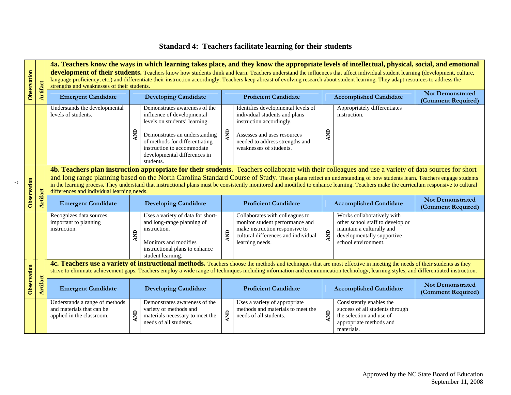## **Standard 4: Teachers facilitate learning for their students**

| Observation |                 |                                                                                          | 4a. Teachers know the ways in which learning takes place, and they know the appropriate levels of intellectual, physical, social, and emotional<br>development of their students. Teachers know how students think and learn. Teachers understand the influences that affect individual student learning (development, culture,<br>language proficiency, etc.) and differentiate their instruction accordingly. Teachers keep abreast of evolving research about student learning. They adapt resources to address the<br>strengths and weaknesses of their students. |                                               |  |  |  |  |  |  |  |
|-------------|-----------------|------------------------------------------------------------------------------------------|-----------------------------------------------------------------------------------------------------------------------------------------------------------------------------------------------------------------------------------------------------------------------------------------------------------------------------------------------------------------------------------------------------------------------------------------------------------------------------------------------------------------------------------------------------------------------|-----------------------------------------------|--|--|--|--|--|--|--|
|             | <b>Artifact</b> | <b>Emergent Candidate</b>                                                                | <b>Developing Candidate</b><br><b>Proficient Candidate</b><br><b>Accomplished Candidate</b>                                                                                                                                                                                                                                                                                                                                                                                                                                                                           | <b>Not Demonstrated</b><br>(Comment Required) |  |  |  |  |  |  |  |
|             |                 | Understands the developmental<br>levels of students.                                     | Demonstrates awareness of the<br>Identifies developmental levels of<br>Appropriately differentiates<br>influence of developmental<br>individual students and plans<br>instruction.<br>instruction accordingly.<br>levels on students' learning.<br><b>QINT</b><br><b>AND</b><br>AND<br>Demonstrates an understanding<br>Assesses and uses resources<br>of methods for differentiating<br>needed to address strengths and<br>instruction to accommodate<br>weaknesses of students.<br>developmental differences in<br>students.                                        |                                               |  |  |  |  |  |  |  |
| Observation | <b>Artifact</b> | differences and individual learning needs.                                               | 4b. Teachers plan instruction appropriate for their students. Teachers collaborate with their colleagues and use a variety of data sources for short<br>and long range planning based on the North Carolina Standard Course of Study. These plans reflect an understanding of how students learn. Teachers engage students<br>in the learning process. They understand that instructional plans must be consistently monitored and modified to enhance learning. Teachers make the curriculum responsive to cultural                                                  | <b>Not Demonstrated</b>                       |  |  |  |  |  |  |  |
|             |                 | <b>Emergent Candidate</b>                                                                | <b>Developing Candidate</b><br><b>Proficient Candidate</b><br><b>Accomplished Candidate</b>                                                                                                                                                                                                                                                                                                                                                                                                                                                                           | (Comment Required)                            |  |  |  |  |  |  |  |
|             |                 | Recognizes data sources<br>important to planning<br>instruction.                         | Uses a variety of data for short-<br>Works collaboratively with<br>Collaborates with colleagues to<br>monitor student performance and<br>other school staff to develop or<br>and long-range planning of<br>make instruction responsive to<br>maintain a culturally and<br>instruction.<br>$\overline{B}$<br><b>AND</b><br><b>QNV</b><br>cultural differences and individual<br>developmentally supportive<br>Monitors and modifies<br>learning needs.<br>school environment.<br>instructional plans to enhance<br>student learning.                                   |                                               |  |  |  |  |  |  |  |
|             |                 |                                                                                          | 4c. Teachers use a variety of instructional methods. Teachers choose the methods and techniques that are most effective in meeting the needs of their students as they<br>strive to eliminate achievement gaps. Teachers employ a wide range of techniques including information and communication technology, learning styles, and differentiated instruction.                                                                                                                                                                                                       |                                               |  |  |  |  |  |  |  |
| Observation | <b>Artifact</b> | <b>Emergent Candidate</b>                                                                | <b>Proficient Candidate</b><br><b>Developing Candidate</b><br><b>Accomplished Candidate</b>                                                                                                                                                                                                                                                                                                                                                                                                                                                                           | <b>Not Demonstrated</b><br>(Comment Required) |  |  |  |  |  |  |  |
|             |                 | Understands a range of methods<br>and materials that can be<br>applied in the classroom. | Consistently enables the<br>Demonstrates awareness of the<br>Uses a variety of appropriate<br>success of all students through<br>methods and materials to meet the<br>variety of methods and<br><b>AND</b><br>E<br><b>QNV</b><br>the selection and use of<br>materials necessary to meet the<br>needs of all students.<br>needs of all students.<br>appropriate methods and<br>materials.                                                                                                                                                                             |                                               |  |  |  |  |  |  |  |

 $\overline{2}$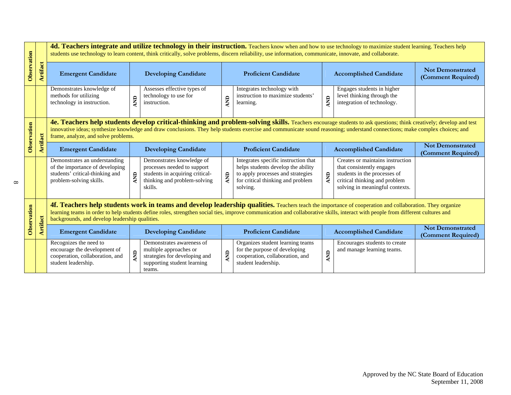|             |                 |                                                                                                                                                                                                                                                                                                                                                                                               |            |                                                                                                                                        |                                                                                                                                                                                                                                                                                                                                                  | 4d. Teachers integrate and utilize technology in their instruction. Teachers know when and how to use technology to maximize student learning. Teachers help<br>students use technology to learn content, think critically, solve problems, discern reliability, use information, communicate, innovate, and collaborate. |             |                                                                                                                                                                   |                                               |
|-------------|-----------------|-----------------------------------------------------------------------------------------------------------------------------------------------------------------------------------------------------------------------------------------------------------------------------------------------------------------------------------------------------------------------------------------------|------------|----------------------------------------------------------------------------------------------------------------------------------------|--------------------------------------------------------------------------------------------------------------------------------------------------------------------------------------------------------------------------------------------------------------------------------------------------------------------------------------------------|---------------------------------------------------------------------------------------------------------------------------------------------------------------------------------------------------------------------------------------------------------------------------------------------------------------------------|-------------|-------------------------------------------------------------------------------------------------------------------------------------------------------------------|-----------------------------------------------|
| Observation | <b>Artifact</b> | <b>Emergent Candidate</b>                                                                                                                                                                                                                                                                                                                                                                     |            | <b>Developing Candidate</b>                                                                                                            |                                                                                                                                                                                                                                                                                                                                                  | <b>Proficient Candidate</b>                                                                                                                                                                                                                                                                                               |             | <b>Accomplished Candidate</b>                                                                                                                                     | <b>Not Demonstrated</b><br>(Comment Required) |
|             |                 | Demonstrates knowledge of<br>methods for utilizing<br>technology in instruction.                                                                                                                                                                                                                                                                                                              | <b>AND</b> | Assesses effective types of<br>technology to use for<br>instruction.                                                                   | <b>AND</b>                                                                                                                                                                                                                                                                                                                                       | Integrates technology with<br>instruction to maximize students'<br>learning.                                                                                                                                                                                                                                              | <b>QINT</b> | Engages students in higher<br>level thinking through the<br>integration of technology.                                                                            |                                               |
| Observation |                 | frame, analyze, and solve problems.                                                                                                                                                                                                                                                                                                                                                           |            |                                                                                                                                        | 4e. Teachers help students develop critical-thinking and problem-solving skills. Teachers encourage students to ask questions; think creatively; develop and test<br>innovative ideas; synthesize knowledge and draw conclusions. They help students exercise and communicate sound reasoning; understand connections; make complex choices; and |                                                                                                                                                                                                                                                                                                                           |             |                                                                                                                                                                   |                                               |
|             | <b>Artifact</b> | <b>Emergent Candidate</b>                                                                                                                                                                                                                                                                                                                                                                     |            | <b>Developing Candidate</b>                                                                                                            |                                                                                                                                                                                                                                                                                                                                                  | <b>Proficient Candidate</b>                                                                                                                                                                                                                                                                                               |             | <b>Accomplished Candidate</b>                                                                                                                                     | <b>Not Demonstrated</b><br>(Comment Required) |
|             |                 | Demonstrates an understanding<br>of the importance of developing<br>students' critical-thinking and<br>problem-solving skills.                                                                                                                                                                                                                                                                | <b>ENV</b> | Demonstrates knowledge of<br>processes needed to support<br>students in acquiring critical-<br>thinking and problem-solving<br>skills. | <b>AND</b>                                                                                                                                                                                                                                                                                                                                       | Integrates specific instruction that<br>helps students develop the ability<br>to apply processes and strategies<br>for critical thinking and problem<br>solving.                                                                                                                                                          | Ę           | Creates or maintains instruction<br>that consistently engages<br>students in the processes of<br>critical thinking and problem<br>solving in meaningful contexts. |                                               |
| Observation |                 | 4f. Teachers help students work in teams and develop leadership qualities. Teachers teach the importance of cooperation and collaboration. They organize<br>learning teams in order to help students define roles, strengthen social ties, improve communication and collaborative skills, interact with people from different cultures and<br>backgrounds, and develop leadership qualities. |            |                                                                                                                                        |                                                                                                                                                                                                                                                                                                                                                  |                                                                                                                                                                                                                                                                                                                           |             |                                                                                                                                                                   |                                               |
|             | <b>Artifact</b> | <b>Emergent Candidate</b>                                                                                                                                                                                                                                                                                                                                                                     |            | <b>Developing Candidate</b>                                                                                                            |                                                                                                                                                                                                                                                                                                                                                  | <b>Proficient Candidate</b>                                                                                                                                                                                                                                                                                               |             | <b>Accomplished Candidate</b>                                                                                                                                     | <b>Not Demonstrated</b><br>(Comment Required) |
|             |                 | Recognizes the need to<br>encourage the development of<br>cooperation, collaboration, and<br>student leadership.                                                                                                                                                                                                                                                                              | AND        | Demonstrates awareness of<br>multiple approaches or<br>strategies for developing and<br>supporting student learning<br>teams.          | <b>AND</b>                                                                                                                                                                                                                                                                                                                                       | Organizes student learning teams<br>for the purpose of developing<br>cooperation, collaboration, and<br>student leadership.                                                                                                                                                                                               | AND         | Encourages students to create<br>and manage learning teams.                                                                                                       |                                               |

 $\infty$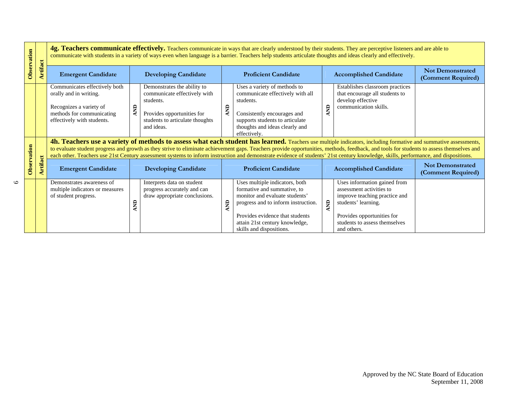| Observation |                 |                                                                                                                                                                                                                                                                                                                                                                                                                                                                                                                                                    | 4g. Teachers communicate effectively. Teachers communicate in ways that are clearly understood by their students. They are perceptive listeners and are able to<br>communicate with students in a variety of ways even when language is a barrier. Teachers help students articulate thoughts and ideas clearly and effectively. |                                                                                                                                                         |           |                                                                                                                                                                                                                                         |            |                                                                                                                                                                                                |                                               |  |  |
|-------------|-----------------|----------------------------------------------------------------------------------------------------------------------------------------------------------------------------------------------------------------------------------------------------------------------------------------------------------------------------------------------------------------------------------------------------------------------------------------------------------------------------------------------------------------------------------------------------|----------------------------------------------------------------------------------------------------------------------------------------------------------------------------------------------------------------------------------------------------------------------------------------------------------------------------------|---------------------------------------------------------------------------------------------------------------------------------------------------------|-----------|-----------------------------------------------------------------------------------------------------------------------------------------------------------------------------------------------------------------------------------------|------------|------------------------------------------------------------------------------------------------------------------------------------------------------------------------------------------------|-----------------------------------------------|--|--|
|             | <b>Artifact</b> | <b>Emergent Candidate</b>                                                                                                                                                                                                                                                                                                                                                                                                                                                                                                                          |                                                                                                                                                                                                                                                                                                                                  | <b>Developing Candidate</b>                                                                                                                             |           | <b>Proficient Candidate</b>                                                                                                                                                                                                             |            | <b>Accomplished Candidate</b>                                                                                                                                                                  | <b>Not Demonstrated</b><br>(Comment Required) |  |  |
|             |                 | Communicates effectively both<br>orally and in writing.<br>Recognizes a variety of<br>methods for communicating<br>effectively with students.                                                                                                                                                                                                                                                                                                                                                                                                      | <b>QNV</b>                                                                                                                                                                                                                                                                                                                       | Demonstrates the ability to<br>communicate effectively with<br>students.<br>Provides opportunities for<br>students to articulate thoughts<br>and ideas. | AND       | Uses a variety of methods to<br>communicate effectively with all<br>students.<br>Consistently encourages and<br>supports students to articulate<br>thoughts and ideas clearly and<br>effectively.                                       | <b>QNV</b> | Establishes classroom practices<br>that encourage all students to<br>develop effective<br>communication skills.                                                                                |                                               |  |  |
| Observation |                 | 4h. Teachers use a variety of methods to assess what each student has learned. Teachers use multiple indicators, including formative and summative assessments,<br>to evaluate student progress and growth as they strive to eliminate achievement gaps. Teachers provide opportunities, methods, feedback, and tools for students to assess themselves and<br>each other. Teachers use 21st Century assessment systems to inform instruction and demonstrate evidence of students' 21st century knowledge, skills, performance, and dispositions. |                                                                                                                                                                                                                                                                                                                                  |                                                                                                                                                         |           |                                                                                                                                                                                                                                         |            |                                                                                                                                                                                                |                                               |  |  |
|             | Artifact        | <b>Emergent Candidate</b>                                                                                                                                                                                                                                                                                                                                                                                                                                                                                                                          |                                                                                                                                                                                                                                                                                                                                  | <b>Developing Candidate</b>                                                                                                                             |           | <b>Proficient Candidate</b>                                                                                                                                                                                                             |            | <b>Accomplished Candidate</b>                                                                                                                                                                  | <b>Not Demonstrated</b><br>(Comment Required) |  |  |
|             |                 | Demonstrates awareness of<br>multiple indicators or measures<br>of student progress.                                                                                                                                                                                                                                                                                                                                                                                                                                                               | <b>AND</b>                                                                                                                                                                                                                                                                                                                       | Interprets data on student<br>progress accurately and can<br>draw appropriate conclusions.                                                              | <b>QN</b> | Uses multiple indicators, both<br>formative and summative, to<br>monitor and evaluate students'<br>progress and to inform instruction.<br>Provides evidence that students<br>attain 21st century knowledge,<br>skills and dispositions. | <b>AND</b> | Uses information gained from<br>assessment activities to<br>improve teaching practice and<br>students' learning.<br>Provides opportunities for<br>students to assess themselves<br>and others. |                                               |  |  |

 $\circ$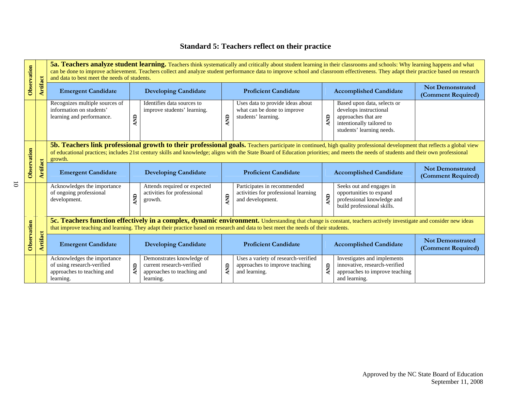## **Standard 5: Teachers reflect on their practice**

| Observation |                 |                                                                                                                                                                                                                                                                                                                                                                             | 5a. Teachers analyze student learning. Teachers think systematically and critically about student learning in their classrooms and schools: Why learning happens and what<br>can be done to improve achievement. Teachers collect and analyze student performance data to improve school and classroom effectiveness. They adapt their practice based on research<br>and data to best meet the needs of students. |                                                                                                   |                             |                                                                                         |                               |                                                                                                                                        |                                               |  |  |
|-------------|-----------------|-----------------------------------------------------------------------------------------------------------------------------------------------------------------------------------------------------------------------------------------------------------------------------------------------------------------------------------------------------------------------------|-------------------------------------------------------------------------------------------------------------------------------------------------------------------------------------------------------------------------------------------------------------------------------------------------------------------------------------------------------------------------------------------------------------------|---------------------------------------------------------------------------------------------------|-----------------------------|-----------------------------------------------------------------------------------------|-------------------------------|----------------------------------------------------------------------------------------------------------------------------------------|-----------------------------------------------|--|--|
|             | Artifact        | <b>Emergent Candidate</b>                                                                                                                                                                                                                                                                                                                                                   |                                                                                                                                                                                                                                                                                                                                                                                                                   | <b>Developing Candidate</b>                                                                       |                             | <b>Proficient Candidate</b>                                                             | <b>Accomplished Candidate</b> |                                                                                                                                        | <b>Not Demonstrated</b><br>(Comment Required) |  |  |
|             |                 | Recognizes multiple sources of<br>information on students'<br>learning and performance.                                                                                                                                                                                                                                                                                     | <b>AND</b>                                                                                                                                                                                                                                                                                                                                                                                                        | Identifies data sources to<br>improve students' learning.                                         | <b>QN</b>                   | Uses data to provide ideas about<br>what can be done to improve<br>students' learning.  | $\sum_{i=1}^{n}$              | Based upon data, selects or<br>develops instructional<br>approaches that are<br>intentionally tailored to<br>students' learning needs. |                                               |  |  |
|             |                 | 5b. Teachers link professional growth to their professional goals. Teachers participate in continued, high quality professional development that reflects a global view<br>of educational practices; includes 21st century skills and knowledge; aligns with the State Board of Education priorities; and meets the needs of students and their own professional<br>growth. |                                                                                                                                                                                                                                                                                                                                                                                                                   |                                                                                                   |                             |                                                                                         |                               |                                                                                                                                        |                                               |  |  |
| Observation | <b>Artifact</b> | <b>Emergent Candidate</b><br><b>Developing Candidate</b>                                                                                                                                                                                                                                                                                                                    |                                                                                                                                                                                                                                                                                                                                                                                                                   |                                                                                                   | <b>Proficient Candidate</b> |                                                                                         | <b>Accomplished Candidate</b> | <b>Not Demonstrated</b><br>(Comment Required)                                                                                          |                                               |  |  |
|             |                 | Acknowledges the importance<br>of ongoing professional<br>development.                                                                                                                                                                                                                                                                                                      | <b>QNY</b>                                                                                                                                                                                                                                                                                                                                                                                                        | Attends required or expected<br>activities for professional<br>growth.                            | E                           | Participates in recommended<br>activities for professional learning<br>and development. | $\mathbf{g}$                  | Seeks out and engages in<br>opportunities to expand<br>professional knowledge and<br>build professional skills.                        |                                               |  |  |
|             |                 | 5c. Teachers function effectively in a complex, dynamic environment. Understanding that change is constant, teachers actively investigate and consider new ideas<br>that improve teaching and learning. They adapt their practice based on research and data to best meet the needs of their students.                                                                      |                                                                                                                                                                                                                                                                                                                                                                                                                   |                                                                                                   |                             |                                                                                         |                               |                                                                                                                                        |                                               |  |  |
| Observation | Artifact        | <b>Emergent Candidate</b>                                                                                                                                                                                                                                                                                                                                                   |                                                                                                                                                                                                                                                                                                                                                                                                                   | <b>Developing Candidate</b>                                                                       |                             | <b>Proficient Candidate</b>                                                             | <b>Accomplished Candidate</b> |                                                                                                                                        | <b>Not Demonstrated</b><br>(Comment Required) |  |  |
|             |                 | Acknowledges the importance<br>of using research-verified<br>approaches to teaching and<br>learning.                                                                                                                                                                                                                                                                        | <b>AND</b>                                                                                                                                                                                                                                                                                                                                                                                                        | Demonstrates knowledge of<br>current research-verified<br>approaches to teaching and<br>learning. | <b>QNV</b>                  | Uses a variety of research-verified<br>approaches to improve teaching<br>and learning.  | <b>AND</b>                    | Investigates and implements<br>innovative, research-verified<br>approaches to improve teaching<br>and learning.                        |                                               |  |  |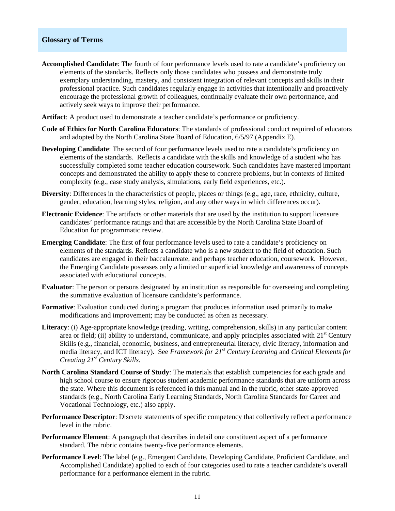#### **Glossary of Terms**

- **Accomplished Candidate**: The fourth of four performance levels used to rate a candidate's proficiency on elements of the standards. Reflects only those candidates who possess and demonstrate truly exemplary understanding, mastery, and consistent integration of relevant concepts and skills in their professional practice. Such candidates regularly engage in activities that intentionally and proactively encourage the professional growth of colleagues, continually evaluate their own performance, and actively seek ways to improve their performance.
- **Artifact**: A product used to demonstrate a teacher candidate's performance or proficiency.
- **Code of Ethics for North Carolina Educators**: The standards of professional conduct required of educators and adopted by the North Carolina State Board of Education, 6/5/97 (Appendix E).
- **Developing Candidate**: The second of four performance levels used to rate a candidate's proficiency on elements of the standards. Reflects a candidate with the skills and knowledge of a student who has successfully completed some teacher education coursework. Such candidates have mastered important concepts and demonstrated the ability to apply these to concrete problems, but in contexts of limited complexity (e.g., case study analysis, simulations, early field experiences, etc.).
- **Diversity**: Differences in the characteristics of people, places or things (e.g., age, race, ethnicity, culture, gender, education, learning styles, religion, and any other ways in which differences occur).
- **Electronic Evidence**: The artifacts or other materials that are used by the institution to support licensure candidates' performance ratings and that are accessible by the North Carolina State Board of Education for programmatic review.
- **Emerging Candidate**: The first of four performance levels used to rate a candidate's proficiency on elements of the standards. Reflects a candidate who is a new student to the field of education. Such candidates are engaged in their baccalaureate, and perhaps teacher education, coursework. However, the Emerging Candidate possesses only a limited or superficial knowledge and awareness of concepts associated with educational concepts.
- **Evaluator**: The person or persons designated by an institution as responsible for overseeing and completing the summative evaluation of licensure candidate's performance.
- **Formative**: Evaluation conducted during a program that produces information used primarily to make modifications and improvement; may be conducted as often as necessary.
- **Literacy**: (i) Age-appropriate knowledge (reading, writing, comprehension, skills) in any particular content area or field; (ii) ability to understand, communicate, and apply principles associated with  $21<sup>st</sup>$  Century Skills (e.g., financial, economic, business, and entrepreneurial literacy, civic literacy, information and media literacy, and ICT literacy). See *Framework for 21st Century Learning* and *Critical Elements for Creating 21st Century Skills*.
- **North Carolina Standard Course of Study**: The materials that establish competencies for each grade and high school course to ensure rigorous student academic performance standards that are uniform across the state. Where this document is referenced in this manual and in the rubric, other state-approved standards (e.g., North Carolina Early Learning Standards, North Carolina Standards for Career and Vocational Technology, etc.) also apply.
- **Performance Descriptor**: Discrete statements of specific competency that collectively reflect a performance level in the rubric.
- **Performance Element**: A paragraph that describes in detail one constituent aspect of a performance standard. The rubric contains twenty-five performance elements.
- **Performance Level**: The label (e.g., Emergent Candidate, Developing Candidate, Proficient Candidate, and Accomplished Candidate) applied to each of four categories used to rate a teacher candidate's overall performance for a performance element in the rubric.